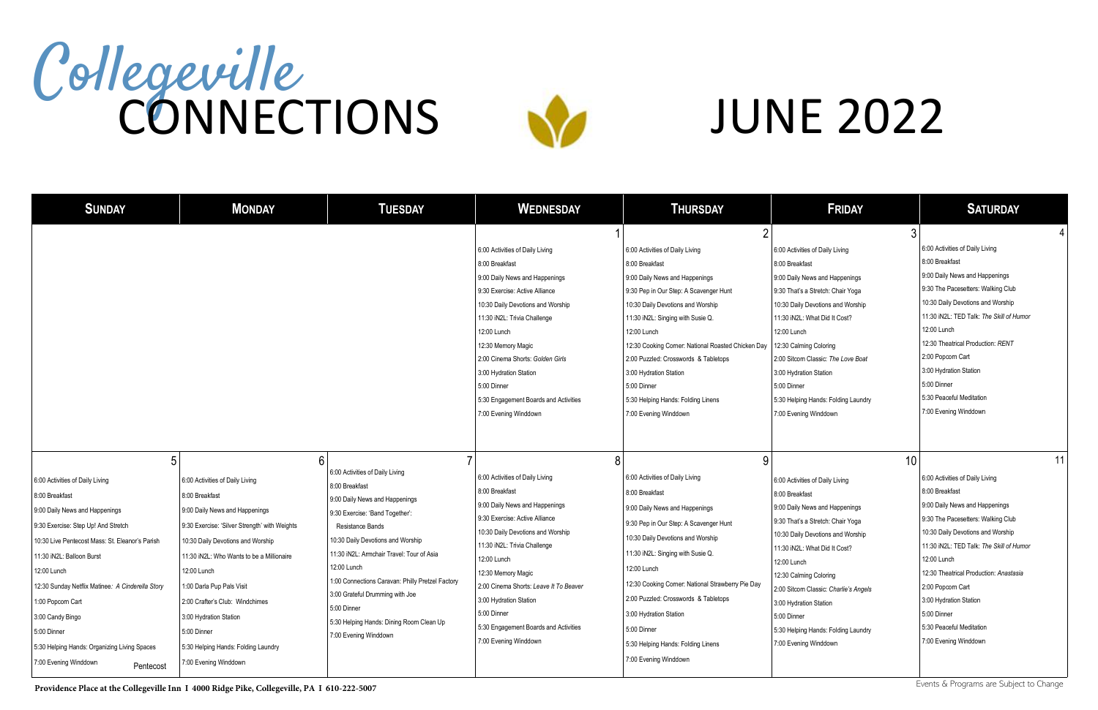| <b>SUNDAY</b>                                                                                                                                                                                                                                                                                                                                                                                                                    | <b>MONDAY</b>                                                                                                                                                                                                                                                                                                                                                                                                       | <b>TUESDAY</b>                                                                                                                                                                                                                                                                                                                                                                                                         | <b>WEDNESDAY</b>                                                                                                                                                                                                                                                                                                                                                                     | <b>THURSDAY</b>                                                                                                                                                                                                                                                                                                                                                                                                                  | <b>FRIDAY</b>                                                                                                                                                                                                                                                                                                                                                                                   | <b>SATURDAY</b>                                                                                                                                                                                                                                                                                                                                                                              |
|----------------------------------------------------------------------------------------------------------------------------------------------------------------------------------------------------------------------------------------------------------------------------------------------------------------------------------------------------------------------------------------------------------------------------------|---------------------------------------------------------------------------------------------------------------------------------------------------------------------------------------------------------------------------------------------------------------------------------------------------------------------------------------------------------------------------------------------------------------------|------------------------------------------------------------------------------------------------------------------------------------------------------------------------------------------------------------------------------------------------------------------------------------------------------------------------------------------------------------------------------------------------------------------------|--------------------------------------------------------------------------------------------------------------------------------------------------------------------------------------------------------------------------------------------------------------------------------------------------------------------------------------------------------------------------------------|----------------------------------------------------------------------------------------------------------------------------------------------------------------------------------------------------------------------------------------------------------------------------------------------------------------------------------------------------------------------------------------------------------------------------------|-------------------------------------------------------------------------------------------------------------------------------------------------------------------------------------------------------------------------------------------------------------------------------------------------------------------------------------------------------------------------------------------------|----------------------------------------------------------------------------------------------------------------------------------------------------------------------------------------------------------------------------------------------------------------------------------------------------------------------------------------------------------------------------------------------|
|                                                                                                                                                                                                                                                                                                                                                                                                                                  |                                                                                                                                                                                                                                                                                                                                                                                                                     |                                                                                                                                                                                                                                                                                                                                                                                                                        | 6:00 Activities of Daily Living<br>8:00 Breakfast<br>9:00 Daily News and Happenings<br>9:30 Exercise: Active Alliance<br>10:30 Daily Devotions and Worship<br>11:30 iN2L: Trivia Challenge<br>12:00 Lunch<br>12:30 Memory Magic<br>2:00 Cinema Shorts: Golden Girls<br>3:00 Hydration Station<br>5:00 Dinner<br>5:30 Engagement Boards and Activities<br>7:00 Evening Winddown       | 6:00 Activities of Daily Living<br>8:00 Breakfast<br>9:00 Daily News and Happenings<br>9:30 Pep in Our Step: A Scavenger Hunt<br>10:30 Daily Devotions and Worship<br>11:30 iN2L: Singing with Susie Q.<br>12:00 Lunch<br>12:30 Cooking Corner: National Roasted Chicken Day<br>2:00 Puzzled: Crosswords & Tabletops<br>3:00 Hydration Station<br>5:00 Dinner<br>5:30 Helping Hands: Folding Linens<br>7:00 Evening Winddown     | 6:00 Activities of Daily Living<br>8:00 Breakfast<br>9:00 Daily News and Happenings<br>9:30 That's a Stretch: Chair Yoga<br>10:30 Daily Devotions and Worship<br>11:30 iN2L: What Did It Cost?<br>12:00 Lunch<br>12:30 Calming Coloring<br>2:00 Sitcom Classic: The Love Boat<br>3:00 Hydration Station<br>5:00 Dinner<br>5:30 Helping Hands: Folding Laundry<br>7:00 Evening Winddown          | 6:00 Activities of Daily Living<br>8:00 Breakfast<br>9:00 Daily News and Happenings<br>9:30 The Pacesetters: Walking Club<br>10:30 Daily Devotions and Worship<br>11:30 iN2L: TED Talk: The Skill of Humor<br>12:00 Lunch<br>12:30 Theatrical Production: RENT<br>2:00 Popcorn Cart<br>3:00 Hydration Station<br>5:00 Dinner<br>5:30 Peaceful Meditation<br>7:00 Evening Winddown            |
| 5<br>6:00 Activities of Daily Living<br>8:00 Breakfast<br>9:00 Daily News and Happenings<br>9:30 Exercise: Step Up! And Stretch<br>10:30 Live Pentecost Mass: St. Eleanor's Parish<br>11:30 iN2L: Balloon Burst<br>12:00 Lunch<br>12:30 Sunday Netflix Matinee: A Cinderella Story<br>1:00 Popcorn Cart<br>3:00 Candy Bingo<br>5:00 Dinner<br>5:30 Helping Hands: Organizing Living Spaces<br>7:00 Evening Winddown<br>Pentecost | 6<br>6:00 Activities of Daily Living<br>8:00 Breakfast<br>9:00 Daily News and Happenings<br>9:30 Exercise: 'Silver Strength' with Weights<br>10:30 Daily Devotions and Worship<br>11:30 iN2L: Who Wants to be a Millionaire<br>12:00 Lunch<br>1:00 Darla Pup Pals Visit<br>2:00 Crafter's Club: Windchimes<br>3:00 Hydration Station<br>5:00 Dinner<br>5:30 Helping Hands: Folding Laundry<br>7:00 Evening Winddown | 6:00 Activities of Daily Living<br>8:00 Breakfast<br>9:00 Daily News and Happenings<br>9:30 Exercise: 'Band Together':<br>Resistance Bands<br>10:30 Daily Devotions and Worship<br>11:30 iN2L: Armchair Travel: Tour of Asia<br>12:00 Lunch<br>1:00 Connections Caravan: Philly Pretzel Factory<br>3:00 Grateful Drumming with Joe<br>5:00 Dinner<br>5:30 Helping Hands: Dining Room Clean Up<br>7:00 Evening Winddown | 6:00 Activities of Daily Living<br>8:00 Breakfast<br>9:00 Daily News and Happenings<br>9:30 Exercise: Active Alliance<br>10:30 Daily Devotions and Worship<br>11:30 iN2L: Trivia Challenge<br>12:00 Lunch<br>12:30 Memory Magic<br>2:00 Cinema Shorts: Leave It To Beaver<br>3:00 Hydration Station<br>5:00 Dinner<br>5:30 Engagement Boards and Activities<br>7:00 Evening Winddown | 8<br>6:00 Activities of Daily Living<br>8:00 Breakfast<br>9:00 Daily News and Happenings<br>9:30 Pep in Our Step: A Scavenger Hunt<br>10:30 Daily Devotions and Worship<br>11:30 iN2L: Singing with Susie Q.<br>12:00 Lunch<br>12:30 Cooking Corner: National Strawberry Pie Day<br>2:00 Puzzled: Crosswords & Tabletops<br>3:00 Hydration Station<br>5:00 Dinner<br>5:30 Helping Hands: Folding Linens<br>7:00 Evening Winddown | 10<br>6:00 Activities of Daily Living<br>8:00 Breakfast<br>9:00 Daily News and Happenings<br>9:30 That's a Stretch: Chair Yoga<br>10:30 Daily Devotions and Worship<br>11:30 iN2L: What Did It Cost?<br>12:00 Lunch<br>12:30 Calming Coloring<br>2:00 Sitcom Classic: Charlie's Angels<br>3:00 Hydration Station<br>5:00 Dinner<br>5:30 Helping Hands: Folding Laundry<br>7:00 Evening Winddown | 11<br>6:00 Activities of Daily Living<br>8:00 Breakfast<br>9:00 Daily News and Happenings<br>9:30 The Pacesetters: Walking Club<br>10:30 Daily Devotions and Worship<br>11:30 iN2L: TED Talk: The Skill of Humor<br>12:00 Lunch<br>12:30 Theatrical Production: Anastasia<br>2:00 Popcorn Cart<br>3:00 Hydration Station<br>5:00 Dinner<br>5:30 Peaceful Meditation<br>7:00 Evening Winddown |

## Collegeville **CONNECTIONS**



# JUNE 2022